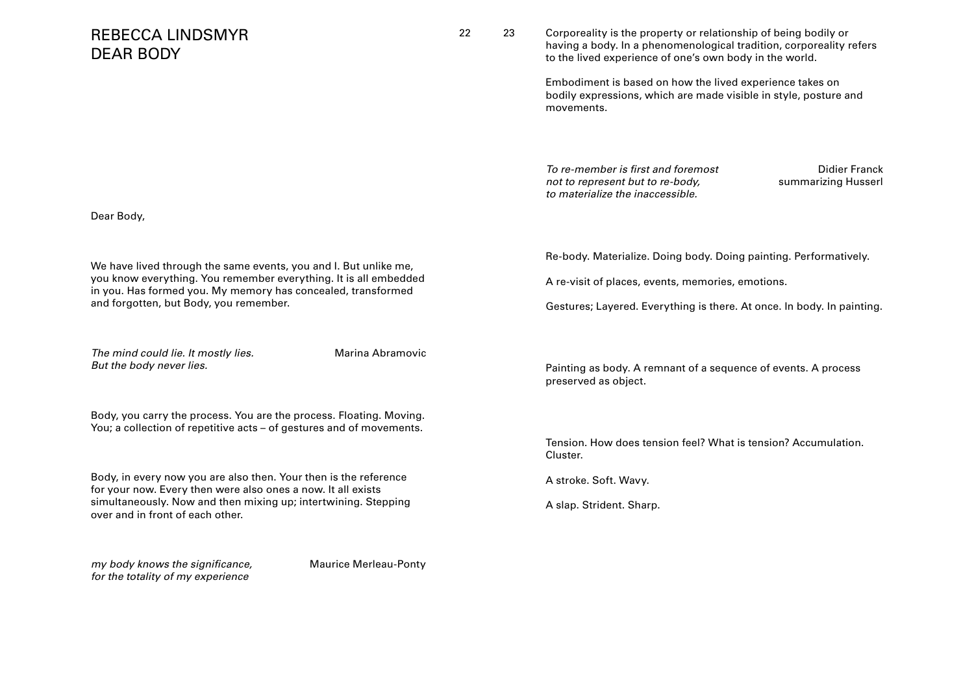| <b>REBECCA LINDSMYR</b><br><b>DEAR BODY</b>                                                                                                                                                                                                    | 22 | 23 | Corporeality is the property or relationship of being bodily or<br>having a body. In a phenomenological tradition, corporeality refers<br>to the lived experience of one's own body in the world. |
|------------------------------------------------------------------------------------------------------------------------------------------------------------------------------------------------------------------------------------------------|----|----|---------------------------------------------------------------------------------------------------------------------------------------------------------------------------------------------------|
|                                                                                                                                                                                                                                                |    |    | Embodiment is based on how the lived experience takes on<br>bodily expressions, which are made visible in style, posture and<br>movements.                                                        |
|                                                                                                                                                                                                                                                |    |    | To re-member is first and foremost<br>Didier Franck<br>summarizing Husserl<br>not to represent but to re-body,<br>to materialize the inaccessible.                                                |
| Dear Body,                                                                                                                                                                                                                                     |    |    |                                                                                                                                                                                                   |
| We have lived through the same events, you and I. But unlike me,<br>you know everything. You remember everything. It is all embedded<br>in you. Has formed you. My memory has concealed, transformed<br>and forgotten, but Body, you remember. |    |    | Re-body. Materialize. Doing body. Doing painting. Performatively.                                                                                                                                 |
|                                                                                                                                                                                                                                                |    |    | A re-visit of places, events, memories, emotions.                                                                                                                                                 |
|                                                                                                                                                                                                                                                |    |    | Gestures; Layered. Everything is there. At once. In body. In painting.                                                                                                                            |
| The mind could lie. It mostly lies.<br>Marina Abramovic<br>But the body never lies.                                                                                                                                                            |    |    | Painting as body. A remnant of a sequence of events. A process<br>preserved as object.                                                                                                            |
| Body, you carry the process. You are the process. Floating. Moving.<br>You; a collection of repetitive acts - of gestures and of movements.                                                                                                    |    |    |                                                                                                                                                                                                   |
|                                                                                                                                                                                                                                                |    |    | Tension. How does tension feel? What is tension? Accumulation.<br>Cluster.                                                                                                                        |
| Body, in every now you are also then. Your then is the reference<br>for your now. Every then were also ones a now. It all exists<br>simultaneously. Now and then mixing up; intertwining. Stepping<br>over and in front of each other.         |    |    | A stroke. Soft. Wavy.                                                                                                                                                                             |
|                                                                                                                                                                                                                                                |    |    | A slap. Strident. Sharp.                                                                                                                                                                          |
| my body knows the significance,<br><b>Maurice Merleau-Ponty</b>                                                                                                                                                                                |    |    |                                                                                                                                                                                                   |

for the totality of my experience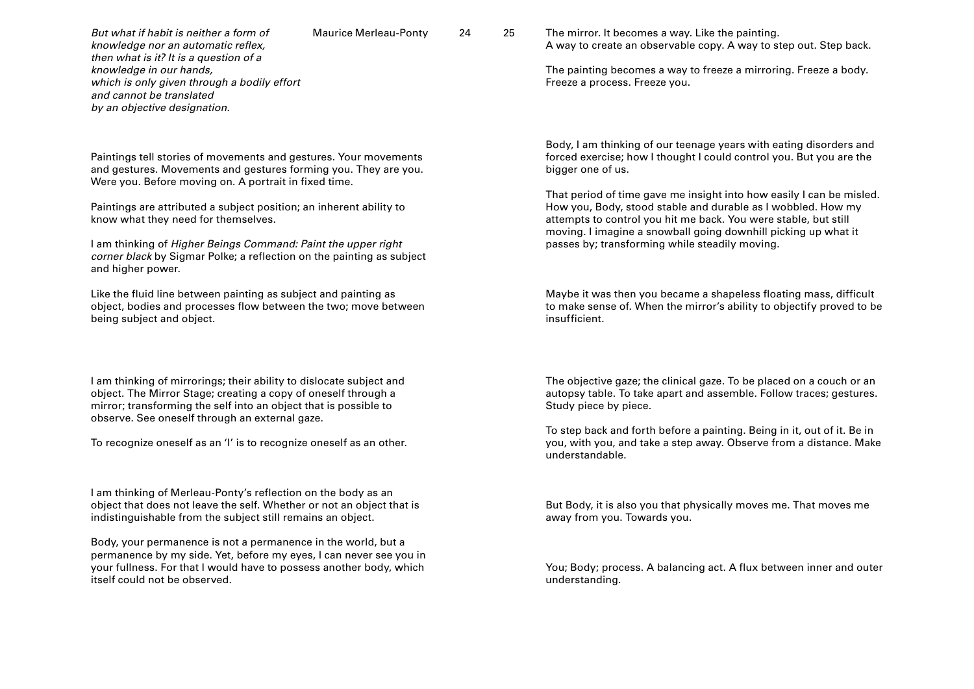But what if habit is neither a form of The Maurice Merleau-Ponty 24 25 knowledge nor an automatic reflex, then what is it? It is a question of a knowledge in our hands, which is only given through a bodily effort and cannot be translated by an objective designation.

Paintings tell stories of movements and gestures. Your movements and gestures. Movements and gestures forming you. They are you. Were you. Before moving on. A portrait in fixed time.

Paintings are attributed a subject position; an inherent ability to know what they need for themselves.

I am thinking of Higher Beings Command: Paint the upper right corner black by Sigmar Polke; a reflection on the painting as subject and higher power.

Like the fluid line between painting as subject and painting as object, bodies and processes flow between the two; move between being subject and object.

I am thinking of mirrorings; their ability to dislocate subject and object. The Mirror Stage; creating a copy of oneself through a mirror; transforming the self into an object that is possible to observe. See oneself through an external gaze.

To recognize oneself as an 'I' is to recognize oneself as an other.

I am thinking of Merleau-Ponty's reflection on the body as an object that does not leave the self. Whether or not an object that is indistinguishable from the subject still remains an object.

Body, your permanence is not a permanence in the world, but a permanence by my side. Yet, before my eyes, I can never see you in your fullness. For that I would have to possess another body, which itself could not be observed.

The mirror. It becomes a way. Like the painting. A way to create an observable copy. A way to step out. Step back.

The painting becomes a way to freeze a mirroring. Freeze a body. Freeze a process. Freeze you.

Body, I am thinking of our teenage years with eating disorders and forced exercise; how I thought I could control you. But you are the bigger one of us.

That period of time gave me insight into how easily I can be misled. How you, Body, stood stable and durable as I wobbled. How my attempts to control you hit me back. You were stable, but still moving. I imagine a snowball going downhill picking up what it passes by; transforming while steadily moving.

Maybe it was then you became a shapeless floating mass, difficult to make sense of. When the mirror's ability to objectify proved to be insufficient.

The objective gaze; the clinical gaze. To be placed on a couch or an autopsy table. To take apart and assemble. Follow traces; gestures. Study piece by piece.

To step back and forth before a painting. Being in it, out of it. Be in you, with you, and take a step away. Observe from a distance. Make understandable.

But Body, it is also you that physically moves me. That moves me away from you. Towards you.

You; Body; process. A balancing act. A flux between inner and outer understanding.

Maurice Merleau-Ponty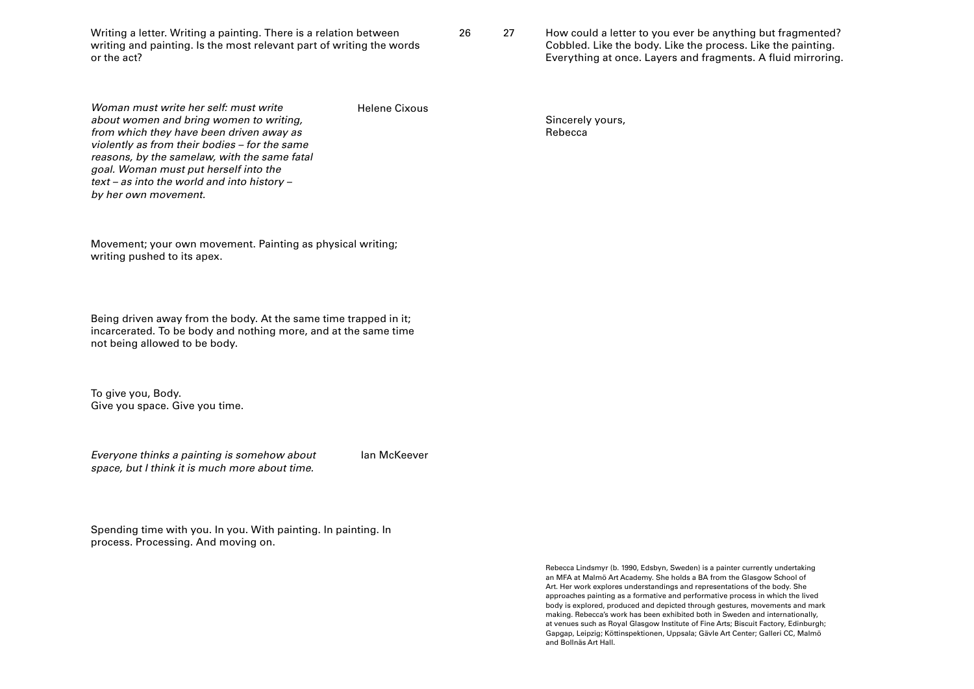Writing a letter. Writing a painting. There is a relation between 26 27 writing and painting. Is the most relevant part of writing the words or the act?

How could a letter to you ever be anything but fragmented? Cobbled. Like the body. Like the process. Like the painting. Everything at once. Layers and fragments. A fluid mirroring.

Woman must write her self: must write about women and bring women to writing, from which they have been driven away as violently as from their bodies – for the same reasons, by the samelaw, with the same fatal goal. Woman must put herself into the text – as into the world and into history – by her own movement.

Helene Cixous

Movement; your own movement. Painting as physical writing; writing pushed to its apex.

Being driven away from the body. At the same time trapped in it; incarcerated. To be body and nothing more, and at the same time not being allowed to be body.

To give you, Body. Give you space. Give you time.

Everyone thinks a painting is somehow about space, but I think it is much more about time.

Ian McKeever

Spending time with you. In you. With painting. In painting. In process. Processing. And moving on.

> Rebecca Lindsmyr (b. 1990, Edsbyn, Sweden) is a painter currently undertaking an MFA at Malmö Art Academy. She holds a BA from the Glasgow School of Art. Her work explores understandings and representations of the body. She approaches painting as a formative and performative process in which the lived body is explored, produced and depicted through gestures, movements and mark making. Rebecca's work has been exhibited both in Sweden and internationally, at venues such as Royal Glasgow Institute of Fine Arts; Biscuit Factory, Edinburgh; Gapgap, Leipzig; Köttinspektionen, Uppsala; Gävle Art Center; Galleri CC, Malmö and Bollnäs Art Hall.

Sincerely yours, Rebecca